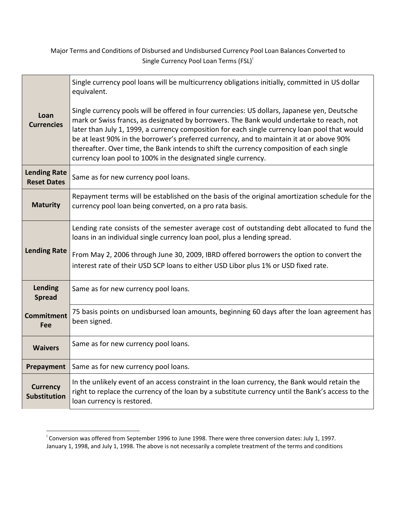Major Terms and Conditions of Disbursed and Undisbursed Currency Pool Loan Balances Converted to S[i](#page-0-0)ngle Currency Pool Loan Terms (FSL)<sup>i</sup>

| Loan<br><b>Currencies</b>                 | Single currency pool loans will be multicurrency obligations initially, committed in US dollar<br>equivalent.<br>Single currency pools will be offered in four currencies: US dollars, Japanese yen, Deutsche<br>mark or Swiss francs, as designated by borrowers. The Bank would undertake to reach, not<br>later than July 1, 1999, a currency composition for each single currency loan pool that would<br>be at least 90% in the borrower's preferred currency, and to maintain it at or above 90%<br>thereafter. Over time, the Bank intends to shift the currency composition of each single<br>currency loan pool to 100% in the designated single currency. |
|-------------------------------------------|---------------------------------------------------------------------------------------------------------------------------------------------------------------------------------------------------------------------------------------------------------------------------------------------------------------------------------------------------------------------------------------------------------------------------------------------------------------------------------------------------------------------------------------------------------------------------------------------------------------------------------------------------------------------|
| <b>Lending Rate</b><br><b>Reset Dates</b> | Same as for new currency pool loans.                                                                                                                                                                                                                                                                                                                                                                                                                                                                                                                                                                                                                                |
| <b>Maturity</b>                           | Repayment terms will be established on the basis of the original amortization schedule for the<br>currency pool loan being converted, on a pro rata basis.                                                                                                                                                                                                                                                                                                                                                                                                                                                                                                          |
| <b>Lending Rate</b>                       | Lending rate consists of the semester average cost of outstanding debt allocated to fund the<br>loans in an individual single currency loan pool, plus a lending spread.<br>From May 2, 2006 through June 30, 2009, IBRD offered borrowers the option to convert the<br>interest rate of their USD SCP loans to either USD Libor plus 1% or USD fixed rate.                                                                                                                                                                                                                                                                                                         |
| Lending<br><b>Spread</b>                  | Same as for new currency pool loans.                                                                                                                                                                                                                                                                                                                                                                                                                                                                                                                                                                                                                                |
| <b>Commitment</b><br>Fee                  | 75 basis points on undisbursed loan amounts, beginning 60 days after the loan agreement has<br>been signed.                                                                                                                                                                                                                                                                                                                                                                                                                                                                                                                                                         |
| <b>Waivers</b>                            | Same as for new currency pool loans.                                                                                                                                                                                                                                                                                                                                                                                                                                                                                                                                                                                                                                |
| Prepayment                                | Same as for new currency pool loans.                                                                                                                                                                                                                                                                                                                                                                                                                                                                                                                                                                                                                                |
| <b>Currency</b><br><b>Substitution</b>    | In the unlikely event of an access constraint in the loan currency, the Bank would retain the<br>right to replace the currency of the loan by a substitute currency until the Bank's access to the<br>loan currency is restored.                                                                                                                                                                                                                                                                                                                                                                                                                                    |

<span id="page-0-0"></span>i Conversion was offered from September 1996 to June 1998. There were three conversion dates: July 1, 1997. January 1, 1998, and July 1, 1998. The above is not necessarily a complete treatment of the terms and conditions